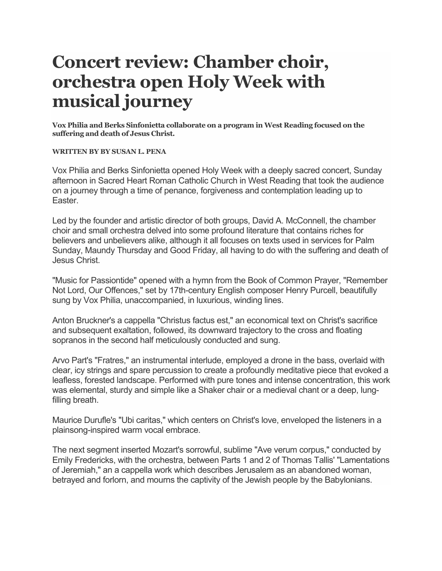## **Concert review: Chamber choir, orchestra open Holy Week with musical journey**

**Vox Philia and Berks Sinfonietta collaborate on a program in West Reading focused on the suffering and death of Jesus Christ.**

**WRITTEN BY BY SUSAN L. PENA**

Vox Philia and Berks Sinfonietta opened Holy Week with a deeply sacred concert, Sunday afternoon in Sacred Heart Roman Catholic Church in West Reading that took the audience on a journey through a time of penance, forgiveness and contemplation leading up to Easter.

Led by the founder and artistic director of both groups, David A. McConnell, the chamber choir and small orchestra delved into some profound literature that contains riches for believers and unbelievers alike, although it all focuses on texts used in services for Palm Sunday, Maundy Thursday and Good Friday, all having to do with the suffering and death of Jesus Christ.

"Music for Passiontide" opened with a hymn from the Book of Common Prayer, "Remember Not Lord, Our Offences," set by 17th-century English composer Henry Purcell, beautifully sung by Vox Philia, unaccompanied, in luxurious, winding lines.

Anton Bruckner's a cappella "Christus factus est," an economical text on Christ's sacrifice and subsequent exaltation, followed, its downward trajectory to the cross and floating sopranos in the second half meticulously conducted and sung.

Arvo Part's "Fratres," an instrumental interlude, employed a drone in the bass, overlaid with clear, icy strings and spare percussion to create a profoundly meditative piece that evoked a leafless, forested landscape. Performed with pure tones and intense concentration, this work was elemental, sturdy and simple like a Shaker chair or a medieval chant or a deep, lungfilling breath.

Maurice Durufle's "Ubi caritas," which centers on Christ's love, enveloped the listeners in a plainsong-inspired warm vocal embrace.

The next segment inserted Mozart's sorrowful, sublime "Ave verum corpus," conducted by Emily Fredericks, with the orchestra, between Parts 1 and 2 of Thomas Tallis' "Lamentations of Jeremiah," an a cappella work which describes Jerusalem as an abandoned woman, betrayed and forlorn, and mourns the captivity of the Jewish people by the Babylonians.